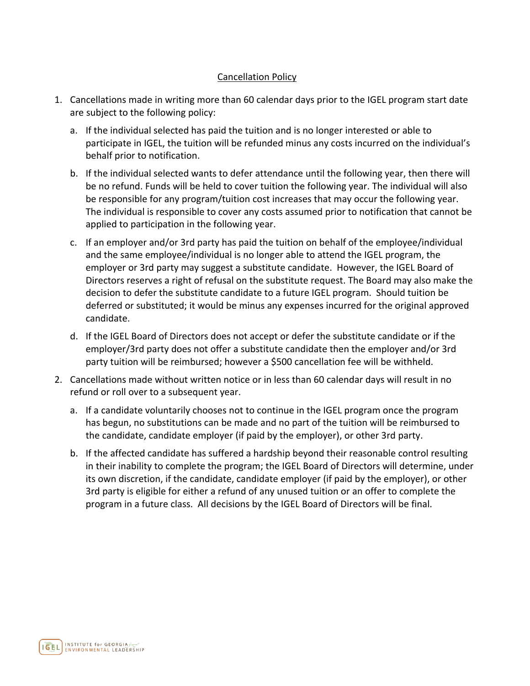## Cancellation Policy

- 1. Cancellations made in writing more than 60 calendar days prior to the IGEL program start date are subject to the following policy:
	- a. If the individual selected has paid the tuition and is no longer interested or able to participate in IGEL, the tuition will be refunded minus any costs incurred on the individual's behalf prior to notification.
	- b. If the individual selected wants to defer attendance until the following year, then there will be no refund. Funds will be held to cover tuition the following year. The individual will also be responsible for any program/tuition cost increases that may occur the following year. The individual is responsible to cover any costs assumed prior to notification that cannot be applied to participation in the following year.
	- c. If an employer and/or 3rd party has paid the tuition on behalf of the employee/individual and the same employee/individual is no longer able to attend the IGEL program, the employer or 3rd party may suggest a substitute candidate. However, the IGEL Board of Directors reserves a right of refusal on the substitute request. The Board may also make the decision to defer the substitute candidate to a future IGEL program. Should tuition be deferred or substituted; it would be minus any expenses incurred for the original approved candidate.
	- d. If the IGEL Board of Directors does not accept or defer the substitute candidate or if the employer/3rd party does not offer a substitute candidate then the employer and/or 3rd party tuition will be reimbursed; however a \$500 cancellation fee will be withheld.
- 2. Cancellations made without written notice or in less than 60 calendar days will result in no refund or roll over to a subsequent year.
	- a. If a candidate voluntarily chooses not to continue in the IGEL program once the program has begun, no substitutions can be made and no part of the tuition will be reimbursed to the candidate, candidate employer (if paid by the employer), or other 3rd party.
	- b. If the affected candidate has suffered a hardship beyond their reasonable control resulting in their inability to complete the program; the IGEL Board of Directors will determine, under its own discretion, if the candidate, candidate employer (if paid by the employer), or other 3rd party is eligible for either a refund of any unused tuition or an offer to complete the program in a future class. All decisions by the IGEL Board of Directors will be final.

INSTITUTE for GEORGIA IGEL